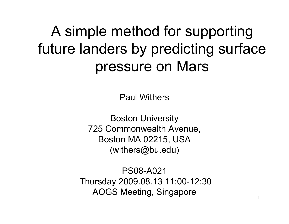#### A simple method for supporting future landers by predicting surface pressure on Mars

Paul Withers

Boston University 725 Commonwealth Avenue, Boston MA 02215, USA (withers@bu.edu)

PS08-A021Thursday 2009.08.13 11:00-12:30 AOGS Meeting, Singapore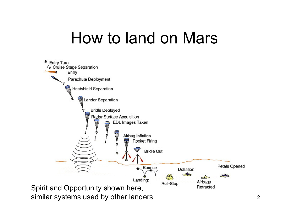## How to land on Mars

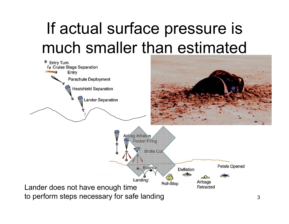# If actual surface pressure is much smaller than estimated

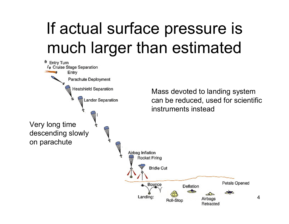# If actual surface pressure is much larger than estimated

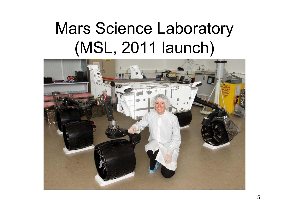# Mars Science Laboratory (MSL, 2011 launch)

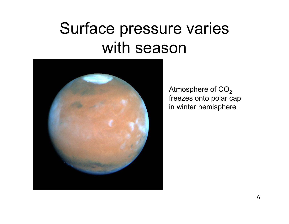## Surface pressure varies with season



Atmosphere of CO $_{\rm 2}$  freezes onto polar cap in winter hemisphere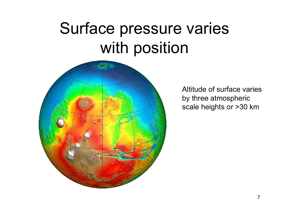## Surface pressure varies with position



Altitude of surface variesby three atmospheric scale heights or >30 km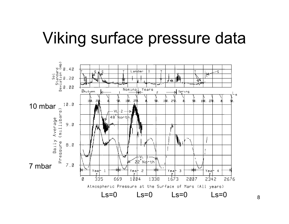#### Viking surface pressure data

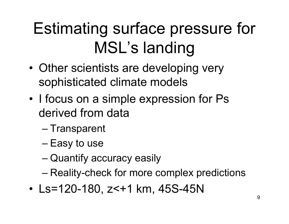# Estimating surface pressure for MSL's landing

- • Other scientists are developing very sophisticated climate models
- • I focus on a simple expression for Ps derived from data
	- Transparent
	- Easy to use
	- Quantify accuracy easily
	- Reality-check for more complex predictions
- •Ls=120-180, z<+1 km, 45S-45N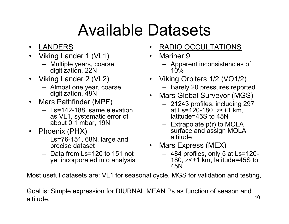# Available Datasets

- $\bullet$ LANDERS
- • Viking Lander 1 (VL1)
	- Multiple years, coarse digitization, 22N
- Viking Lander 2 (VL2)
	- Almost one year, coarse digitization, 48N
- Mars Pathfinder (MPF)
	- Ls=142-188, same elevation as VL1, systematic error of about 0.1 mbar, 19N
- Phoenix (PHX)
	- Ls=76-151, 68N, large and precise dataset
	- Data from Ls=120 to 151 not yet incorporated into analysis
- •RADIO OCCULTATIONS
- • Mariner 9
	- Apparent inconsistencies of 10%
- Viking Orbiters 1/2 (VO1/2) – Barely 20 pressures reported
- • Mars Global Surveyor (MGS)
	- 21243 profiles, including 297 at Ls=120-180, z<+1 km, latitude=45S to 45N
	- Extrapolate p(r) to MOLA surface and assign MOLA altitude
- • Mars Express (MEX)
	- 484 profiles, only 5 at Ls=120- 180, z<+1 km, latitude=45S to 45N

Most useful datasets are: VL1 for seasonal cycle, MGS for validation and testing,

10Goal is: Simple expression for DIURNAL MEAN Ps as function of season and altitude.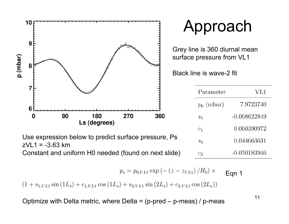

$$
p_s = p_{0,VL1} \exp(-(z - z_{VL1})/H_0) \times
$$
 Eqn 1

 $(1 + s_{1,VL1} \sin(1L_s) + c_{1,VL1} \cos(1L_s) + s_{2,VL1} \sin(2L_s) + c_{2,VL1} \cos(2L_s))$ 

Optimize with Delta metric, where Delta =  $(p$ -pred  $-p$ -meas) / p-meas

11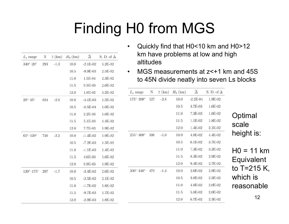#### Finding H0 from MGS

- • Quickly find that H0<10 km and H0>12 km have problems at low and high altitudes
- $\bullet$  MGS measurements at z<+1 km and 45S to 45N divide neatly into seven Ls blocks

| $L_s$ range                  | $\mathbf N$                                 | $\overline{z}$ (km) | $H_0$ (km) | $\overline{\Delta}$ | S. D. of $\Delta$ |                  |
|------------------------------|---------------------------------------------|---------------------|------------|---------------------|-------------------|------------------|
| $175^{\circ} - 200^{\circ}$  | 127                                         | $-2.8$              | 10.0       | $-2.2E-04$          | 1.9E-02           |                  |
|                              |                                             |                     | $10.5$     | 3.7E-03             | 1.6E-02           |                  |
|                              |                                             |                     | 11.0       | 7.3E-03             | 1.6E-02           | Optimal          |
|                              |                                             |                     | 11.5       | 1.1E-02             | 1.8E-02           |                  |
|                              |                                             |                     | 12.0       | 1.4E-02             | 2.1E-02           | scale            |
| $255^{\circ} -\!300^{\circ}$ | 4.4E-02<br>10.0<br>4.8E-02<br>306<br>$-1.0$ | height is:          |            |                     |                   |                  |
|                              |                                             |                     | 10.5       | 6.1E-02             | 3.7E-02           |                  |
|                              |                                             |                     | 11.0       | 7.3E-02             | 3.2E-02           | $HO = 11$ km     |
|                              |                                             |                     | 11.5       | 8.3E-02             | 2.9E-02           | Equivalent       |
|                              |                                             |                     | 12.0       | 9.4E-02             | 2.7E-02           |                  |
| $300^\circ - 340^\circ$      | 479                                         | $-1.3$              | 10.0       | 2.6E-02             | 2.9E-02           | to $T = 215 K$ , |
|                              |                                             |                     | 10.5       | 3.8E-02             | 2.3E-02           | which is         |
|                              |                                             |                     | 11.0       | 4.8E-02             | 2.0E-02           | reasonable       |
|                              |                                             |                     | 11.5       | 5.8E-02             | 2.0E-02           |                  |
|                              |                                             |                     | 12.0       | 6.7E-02             | 2.3E-02           | 12               |

| $L_s$ range               | N   | $\overline{z}$ (km) | $H_0$ (km) | $\overline{\Delta}$ | S. D. of $\Delta$ |
|---------------------------|-----|---------------------|------------|---------------------|-------------------|
| $340^{\circ}-20^{\circ}$  | 293 | $-1.3$              | 10.0       | $-2.1E-02$          | 3.2E-02           |
|                           |     |                     | 10.5       | $-9.9E-03$          | $2.5E-02$         |
|                           |     |                     | 11.0       | 1.5E-04             | 2.3E-02           |
|                           |     |                     | 11.5       | 9.5E-03             | 2.6E-02           |
|                           |     |                     | 12.0       | 1.8E-02             | 3.2E-02           |
| $20^{\circ}-65^{\circ}$   | 824 | $-2.9$              | 10.0       | $-4.1E-03$          | 1.5E-02           |
|                           |     |                     | 10.5       | $-8.5E-04$          | $1.0E-02$         |
|                           |     |                     | 11.0       | $2.2E-03$           | 1.0E-02           |
|                           |     |                     | 11.5       | $5.1E-03$           | 1.4E-02           |
|                           |     |                     | 12.0       | 7.7E-03             | 1.9E-02           |
| $65^{\circ}-120^{\circ}$  | 740 | $-2.2$              | 10.0       | $-1.4E-02$          | 1.9E-02           |
|                           |     |                     | 10.5       | $-7.2E-03$          | 1.5E-02           |
|                           |     |                     | 11.0       | $-1.1E-03$          | 1.4E-02           |
|                           |     |                     | 11.5       | $4.6E-03$           | 1.6E-02           |
|                           |     |                     | 12.0       | 9.9E-03             | 1.9E-02           |
| $120^{\circ}-175^{\circ}$ | 297 | $-1.7$              | 10.0       | $-3.4E-02$          | 2.6E-02           |
|                           |     |                     | 10.5       | $-2.5E-02$          | 2.1E-02           |
|                           |     |                     | 11.0       | $-1.7E-02$          | 1.8E-02           |
|                           |     |                     | 11.5       | $-9.7E-03$          | 1.7E-02           |
|                           |     |                     | 12.0       | $-2.9E-03$          | 1.8E-02           |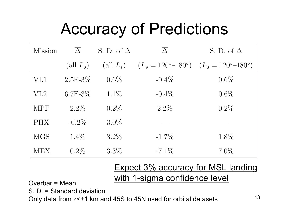## Accuracy of Predictions

| Mission    | $\overline{\wedge}$ | S. D. of $\Delta$ | $\overline{\Lambda}$                | S. D. of $\Delta$                   |
|------------|---------------------|-------------------|-------------------------------------|-------------------------------------|
|            | (all $L_s$ )        | (all $L_s$ )      | $(L_s = 120^{\circ} - 180^{\circ})$ | $(L_s = 120^{\circ} - 180^{\circ})$ |
| VL1        | $2.5E - 3\%$        | $0.6\%$           | $-0.4\%$                            | $0.6\%$                             |
| $\rm{VL}2$ | $6.7E - 3\%$        | $1.1\%$           | $-0.4\%$                            | 0.6%                                |
| <b>MPF</b> | $2.2\%$             | $0.2\%$           | $2.2\%$                             | 0.2%                                |
| <b>PHX</b> | $-0.2\%$            | $3.0\%$           |                                     |                                     |
| <b>MGS</b> | $1.4\%$             | $3.2\%$           | $-1.7\%$                            | $1.8\%$                             |
| MEX        | $0.2\%$             | $3.3\%$           | $-7.1\%$                            | $7.0\%$                             |

Expect 3% accuracy for MSL landing Overbar = Mean with 1-sigma confidence level

S. D. = Standard deviation

Only data from z<+1 km and 45S to 45N used for orbital datasets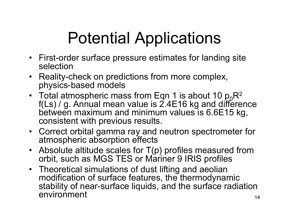# Potential Applications

- First-order surface pressure estimates for landing site selection
- Reality-check on predictions from more complex, physics-based models
- Total atmospheric mass from Eqn 1 is about 10  ${\rm p_0} {\mathsf R}$ 2 f(Ls) / g. Annual mean value is 2.4E16 kg and difference between maximum and minimum values is 6.6E15 kg, consistent with previous results.
- Correct orbital gamma ray and neutron spectrometer for atmospheric absorption effects
- Absolute altitude scales for T(p) profiles measured from orbit, such as MGS TES or Mariner 9 IRIS profiles
- 14• Theoretical simulations of dust lifting and aeolian modification of surface features, the thermodynamic stability of near-surface liquids, and the surface radiation environment